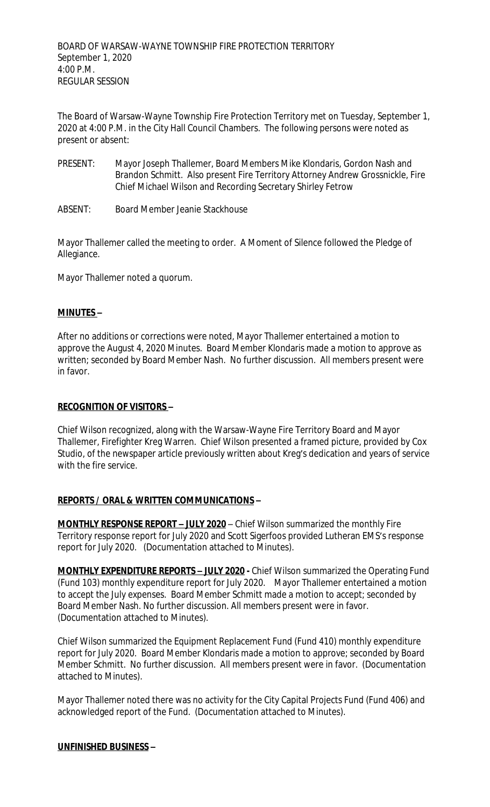The Board of Warsaw-Wayne Township Fire Protection Territory met on Tuesday, September 1, 2020 at 4:00 P.M. in the City Hall Council Chambers. The following persons were noted as present or absent:

- PRESENT: Mayor Joseph Thallemer, Board Members Mike Klondaris, Gordon Nash and Brandon Schmitt. Also present Fire Territory Attorney Andrew Grossnickle, Fire Chief Michael Wilson and Recording Secretary Shirley Fetrow
- ABSENT: Board Member Jeanie Stackhouse

Mayor Thallemer called the meeting to order. A Moment of Silence followed the Pledge of Allegiance.

Mayor Thallemer noted a quorum.

#### **MINUTES –**

After no additions or corrections were noted, Mayor Thallemer entertained a motion to approve the August 4, 2020 Minutes. Board Member Klondaris made a motion to approve as written; seconded by Board Member Nash. No further discussion. All members present were in favor.

#### **RECOGNITION OF VISITORS –**

Chief Wilson recognized, along with the Warsaw-Wayne Fire Territory Board and Mayor Thallemer, Firefighter Kreg Warren. Chief Wilson presented a framed picture, provided by Cox Studio, of the newspaper article previously written about Kreg's dedication and years of service with the fire service.

### **REPORTS / ORAL & WRITTEN COMMUNICATIONS –**

**MONTHLY RESPONSE REPORT - JULY 2020** - Chief Wilson summarized the monthly Fire Territory response report for July 2020 and Scott Sigerfoos provided Lutheran EMS's response report for July 2020. (Documentation attached to Minutes).

**MONTHLY EXPENDITURE REPORTS - JULY 2020** - Chief Wilson summarized the Operating Fund (Fund 103) monthly expenditure report for July 2020. Mayor Thallemer entertained a motion to accept the July expenses. Board Member Schmitt made a motion to accept; seconded by Board Member Nash. No further discussion. All members present were in favor. (Documentation attached to Minutes).

Chief Wilson summarized the Equipment Replacement Fund (Fund 410) monthly expenditure report for July 2020. Board Member Klondaris made a motion to approve; seconded by Board Member Schmitt. No further discussion. All members present were in favor. (Documentation attached to Minutes).

Mayor Thallemer noted there was no activity for the City Capital Projects Fund (Fund 406) and acknowledged report of the Fund. (Documentation attached to Minutes).

### **UNFINISHED BUSINESS –**